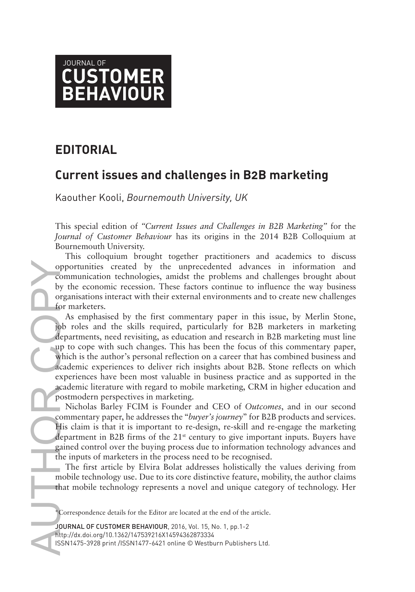

## **EDITORIAL**

## **Current issues and challenges in B2B marketing**

Kaouther Kooli, *Bournemouth University, UK*

This special edition of *"Current Issues and Challenges in B2B Marketing"* for the *Journal of Customer Behaviour* has its origins in the 2014 B2B Colloquium at Bournemouth University.

This colloquium brought together practitioners and academics to discuss opportunities created by the unprecedented advances in information and communication technologies, amidst the problems and challenges brought about by the economic recession. These factors continue to influence the way business organisations interact with their external environments and to create new challenges for marketers.

oppo<br>
oppo<br>
comm<br>
by the organ<br>
opposite of the depart<br>
depart<br>
up to which<br>
acade<br>
expert<br>
acade<br>
post<br>
Micomm<br>
His depart<br>
depart<br>
depart<br>
depart<br>
the in The mobil<br>
that in The mobil<br>
that in The mobil<br>
that in The Minum As emphasised by the first commentary paper in this issue, by Merlin Stone, job roles and the skills required, particularly for B2B marketers in marketing departments, need revisiting, as education and research in B2B marketing must line up to cope with such changes. This has been the focus of this commentary paper, which is the author's personal reflection on a career that has combined business and academic experiences to deliver rich insights about B2B. Stone reflects on which experiences have been most valuable in business practice and as supported in the academic literature with regard to mobile marketing, CRM in higher education and postmodern perspectives in marketing.

Nicholas Barley FCIM is Founder and CEO of *Outcomes*, and in our second commentary paper, he addresses the "*buyer's journey*" for B2B products and services. His claim is that it is important to re-design, re-skill and re-engage the marketing department in B2B firms of the  $21<sup>st</sup>$  century to give important inputs. Buyers have gained control over the buying process due to information technology advances and the inputs of marketers in the process need to be recognised.

The first article by Elvira Bolat addresses holistically the values deriving from mobile technology use. Due to its core distinctive feature, mobility, the author claims that mobile technology represents a novel and unique category of technology. Her

JOURNAL OF CUSTOMER BEHAVIOUR, 2016, Vol. 15, No. 1, pp.1-2 http://dx.doi.org/10.1362/147539216X14594362873334 ISSN1475-3928 print /ISSN1477-6421 online © Westburn Publishers Ltd.

<sup>\*</sup>Correspondence details for the Editor are located at the end of the article.